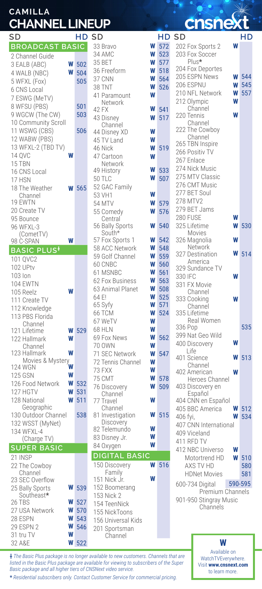## **CAMILLA CHANNEL LINEUP**

| SD                   |   | НD  |
|----------------------|---|-----|
| <b>BROADCA</b><br>ΒĀ |   | SIC |
| 2 Channel Guide      |   |     |
| 3 EALB (ABC)         | W | 502 |
| 4 WALB (NBC)         | W | 504 |
| 5 WFXL (Fox)         |   | 505 |
| 6 CNS Local          |   |     |
| 7 ESWG (MeTV)        |   |     |
| 8 WFSU (PBS)         |   | 501 |
| 9 WGCW (The CW)      |   | 503 |
| 10 Community Scroll  |   |     |
| 11 WSWG (CBS)        |   | 506 |
| 12 WABW (PBS)        |   |     |
| 13 WFXL-2 (TBD TV)   |   |     |
| <b>14 QVC</b>        |   |     |
| 15 TBN               |   |     |
| 16 CNS Local         |   |     |
| 17 HSN               |   |     |
| 18 The Weather       |   | 565 |
| Channel              |   |     |
| 19 EWTN              |   |     |
| 20 Create TV         |   |     |
| 95 Bounce            |   |     |
| 96 WFXL-3            |   |     |
| (CometTV)            |   |     |
| <b>98 C-SPAN</b>     |   |     |
| <b>BASIC PLU</b>     |   |     |
| 101 QVC2             |   |     |
| 102 UPtv             |   |     |
| $103$ lon            |   |     |
| <b>104 EWTN</b>      |   |     |
| 105 Reelz            |   |     |
| 111 Create TV        |   |     |
| 112 Knowledge        |   |     |
| 113 PBS Florida      |   |     |
| Channel              |   |     |
| 121 Lifetime         | Ν | 529 |
| 122 Hallmark         | W |     |
| Channel              |   |     |
| 123 Hallmark         | W |     |
| Movies & Mystery     |   |     |
| <b>124 WGN</b>       | W |     |
| 125 GSN              | W |     |
| 126 Food Network     | W | 532 |
| 127 HGTV             | W | 531 |
| 128 National         | W | 511 |
| Geographic           |   |     |
| 130 Outdoor Channel  |   | 538 |
| 132 WSST (MyNet)     |   |     |
| 134 WFXL-4           |   |     |
| (Charge T)           |   |     |
| <b>SUPER BASIC</b>   |   |     |
| 21 INSP              |   |     |
| 22 The Cowboy        |   |     |
| Channel              |   |     |
| 23 SEC Overflow      | W |     |
| 25 Bally Sports      |   | 539 |
| Southeast*<br>26 TBS | W | 527 |
| 27 USA Network       | W | 570 |
| 28 ESPN              | W | 543 |
| 29 ESPN 2            | W | 546 |
| 31 tru TV            | W |     |
|                      |   |     |

| SD                                |        | НD         |
|-----------------------------------|--------|------------|
| 33 Bravo                          | W      | 572        |
| 34 AMC                            | W      | 523        |
| 35 BET                            | W      | 577        |
| 36 Freeform                       | W      | 518        |
| 37 CNN                            | W      | 564        |
| <b>38 TNT</b>                     | W      | 526        |
| 41 Paramount                      | W      |            |
| Network<br>42 FX                  | W      | 541        |
| 43 Disney                         | W      | 517        |
| Channel                           |        |            |
| 44 Disney XD                      | W      |            |
| 45 TV Land                        | W      |            |
| 46 Nick                           | W      | 519        |
| 47 Cartoon                        | W      |            |
| Network<br>49 History             | W      |            |
| 50 TLC                            | W      | 533<br>507 |
| 52 GAC Family                     |        |            |
| 53 VH1                            | W      |            |
| 54 MTV                            | W      | 579        |
| 55 Comedy                         | W      | 576        |
| Central                           |        |            |
| 56 Bally Sports                   | W      | 540        |
| South*                            |        |            |
| 57 Fox Sports 1                   | W<br>W | 542        |
| 58 ACC Network<br>59 Golf Channel | W      | 548<br>559 |
| 60 CNBC                           | W      | 560        |
| 61 MSNBC                          | W      | 561        |
| 62 Fox Business                   | W      | 563        |
| 63 Animal Planet                  | W      | 508        |
| 64 E!                             | W      | 525        |
| 65 Syfy                           | W      | 571        |
| 66 TCM                            | W      | 524        |
| 67 WeTV                           | W      |            |
| 68 HLN                            | W      |            |
| 69 Fox News                       | W      | 562        |
| 70 OWN                            | W      |            |
| 71 SEC Network                    | W      | 547        |
| 72 Tennis Channel                 | W<br>W |            |
| 73 FXX<br>75 CMT                  | W      | 578        |
| 76 Discovery                      | W      | 509        |
| Channel                           |        |            |
| 77 Travel                         | W      |            |
| Channel                           |        |            |
| 81 Investigation<br>Discovery     | W      | 515        |
| 82 Telemundo                      | W      |            |
| 83 Disney Jr.                     | W      |            |
| 84 Oxygen                         | W      |            |
| <b>BASIC</b><br>DIGITAL           |        |            |
| 150 Discovery                     | W      | 516        |
| Family                            |        |            |
| 151<br>Nick Jr.                   | W      |            |
| 152 Boomerang                     |        |            |
| 153 Nick 2                        |        |            |
| 154 TeenNick                      |        |            |
| 155 NickToons                     |        |            |
| 156 Universal Kids                |        |            |
| 201 Sportsman<br>Channel          |        |            |
|                                   |        |            |

**chsnext** 

| SD                                         | HD SD        |                           |        |              | HD SD                                 |        | НD         |
|--------------------------------------------|--------------|---------------------------|--------|--------------|---------------------------------------|--------|------------|
| <b>BROADCAST BASIC</b>                     |              | 33 Bravo                  | W      | 572          | 202 Fox Sports 2                      | W      |            |
| 2 Channel Guide                            |              | 34 AMC                    | W      | 523          | 203 Fox Soccer                        |        |            |
| W<br>3 EALB (ABC)                          | 502          | 35 BFT                    | W      | 577          | Plus*                                 |        |            |
| W<br>4 WALB (NBC)                          | 504          | 36 Freeform               | W      | 518          | 204 Fox Deportes                      |        |            |
| 5 WFXL (Fox)                               | 505          | 37 CNN                    | W      | 564          | 205 ESPN News                         | W<br>W | 544<br>545 |
| 6 CNS Local                                |              | <b>38 TNT</b>             | W      | 526          | 206 ESPNU                             | W      | 557        |
| 7 ESWG (MeTV)                              |              | 41 Paramount              | W      |              | 210 NFL Network<br>212 Olympic        | W      |            |
| 8 WFSU (PBS)                               | 501          | Network<br>42 FX          | W      | 541          | Channel                               |        |            |
| 9 WGCW (The CW)                            | 503          | 43 Disney                 | W      | 517          | 220 Tennis                            | W      |            |
| 10 Community Scroll                        |              | Channel                   |        |              | Channel                               |        |            |
| 11 WSWG (CBS)                              | 506          | 44 Disney XD              | W      |              | 222 The Cowboy<br>Channel             |        |            |
| 12 WABW (PBS)                              |              | 45 TV Land                | W      |              | 265 TBN Inspire                       |        |            |
| 13 WFXL-2 (TBD TV)                         |              | 46 Nick                   | W      | 519          | 266 Positiv TV                        |        |            |
| 14 QVC<br>W<br>15 TBN                      |              | 47 Cartoon                | W      |              | 267 Enlace                            |        |            |
| 16 CNS Local                               |              | Network<br>49 History     | W      | 533          | 274 Nick Music                        |        |            |
| 17 HSN                                     |              | <b>50 TLC</b>             | W      | 507          | 275 MTV Classic                       |        |            |
| 18 The Weather<br>W                        | 565          | 52 GAC Family             |        |              | 276 CMT Music                         |        |            |
| Channel                                    |              | 53 VH1                    | W      |              | 277 BET Soul                          |        |            |
| 19 EWTN                                    |              | 54 MTV                    | W      | 579          | 278 MTV2                              |        |            |
| 20 Create TV                               |              | 55 Comedy                 | W      | 576          | 279 BET Jams                          |        |            |
| 95 Bounce                                  |              | Central                   |        |              | 280 FUSE                              | W      |            |
| 96 WFXL-3                                  |              | 56 Bally Sports           | W      | 540          | 325 Lifetime                          | W      | 530        |
| (CometTV)<br>W                             |              | South*<br>57 Fox Sports 1 | W      | 542          | Movies<br>326 Magnolia                | W      |            |
| 98 C-SPAN<br><b>BASIC PLUS<sup>+</sup></b> |              | 58 ACC Network            | W      | 548          | Network                               |        |            |
|                                            |              | 59 Golf Channel           | W      | 559          | 327 Destination                       | W      | 514        |
| 101 QVC2<br>102 UPtv                       |              | 60 CNBC                   | W      | 560          | America                               |        |            |
| 103 lon                                    |              | 61 MSNBC                  | W      | 561          | 329 Sundance TV<br>330 IFC            | W      |            |
| <b>104 EWTN</b>                            |              | 62 Fox Business           | W      | 563          | 331 FX Movie                          |        |            |
| W<br>105 Reelz                             |              | 63 Animal Planet          | W      | 508          | Channel                               |        |            |
| 111 Create TV                              |              | 64 E!                     | W      | 525          | 333 Cooking                           | W      |            |
| 112 Knowledge                              |              | 65 Syfy                   | W      | 571          | Channel                               |        |            |
| 113 PBS Florida                            |              | 66 TCM                    | W      | 524          | 335 Lifetime<br>Real Women            |        |            |
| Channel                                    |              | 67 WeTV<br>68 HLN         | W<br>W |              | 336 Pop                               |        | 535        |
| W<br>121 Lifetime<br>W                     | 529          | 69 Fox News               | W      | 562          | 399 Nat Geo Wild                      |        |            |
| 122 Hallmark<br>Channel                    |              | 70 OWN                    | W      |              | 400 Discovery                         | W      |            |
| 123 Hallmark<br>W                          |              | 71 SEC Network            | W      | 547          | Life                                  |        |            |
| Movies & Mystery                           |              | 72 Tennis Channel         | W      |              | 401 Science                           | W      | 513        |
| W<br>124 WGN                               |              | <b>73 FXX</b>             | W      |              | Channel<br>402 American               | W      |            |
| W<br><b>125 GSN</b>                        |              | 75 CMT                    | W      | 578          | Heroes Channel                        |        |            |
| W<br>126 Food Network<br>W                 | 532          | 76 Discovery              | W      | 509          | 403 Discovery en                      |        |            |
| 127 HGTV<br>W<br>128 National              | 531<br>511   | Channel                   | W      |              | Español                               |        |            |
| Geographic                                 |              | 77 Travel<br>Channel      |        |              | 404 CNN en Español<br>405 BBC America | W      | 512        |
| 130 Outdoor Channel                        | 538          | 81 Investigation          | W      | 515          | 406 fyi,                              | W      | 534        |
| 132 WSST (MyNet)                           |              | Discovery                 |        |              | 407 CNN International                 |        |            |
| 134 WFXL-4                                 |              | 82 Telemundo              | W      |              | 409 Viceland                          |        |            |
| (Charge TV)                                |              | 83 Disney Jr.             | W      |              | 411 RFD TV                            |        |            |
| <b>SUPER BASIC</b>                         |              | 84 Oxygen                 | W      |              | 412 NBC Universo                      | W      |            |
| 21 INSP                                    |              | <b>DIGITAL BASIC</b>      |        |              | Motortrend HD                         | W      | 510        |
| 22 The Cowboy                              |              | 150 Discovery             |        | <b>W</b> 516 | AXS TV HD                             |        | 580        |
| Channel                                    |              | Family<br>151 Nick Jr.    | W      |              | <b>HDNet Movies</b>                   |        | 581        |
| 23 SEC Overflow<br>25 Bally Sports         | <b>W</b> 539 | 152 Boomerang             |        |              | 600-734 Digital                       |        | 590-595    |
| Southeast*                                 |              | 153 Nick 2                |        |              | Premium Channels                      |        |            |
| 26 TBS                                     | <b>W</b> 527 | 154 TeenNick              |        |              | 901-950 Stingray Music                |        |            |
| 07 HOA Notwork                             | E70          |                           |        |              | Channels                              |        |            |

**†** *The Basic Plus package is no longer available to new customers. Channels that are listed in the Basic Plus package are available for viewing to subscribers of the Super Basic package and all higher tiers of CNSNext video service.*

**\*** *Residential subscribers only. Contact Customer Service for commercial pricing.*

32 A&E 522 **W**

**W**

Available on WatchTVEverywhere. Visit **www.cnsnext.com** to learn more.